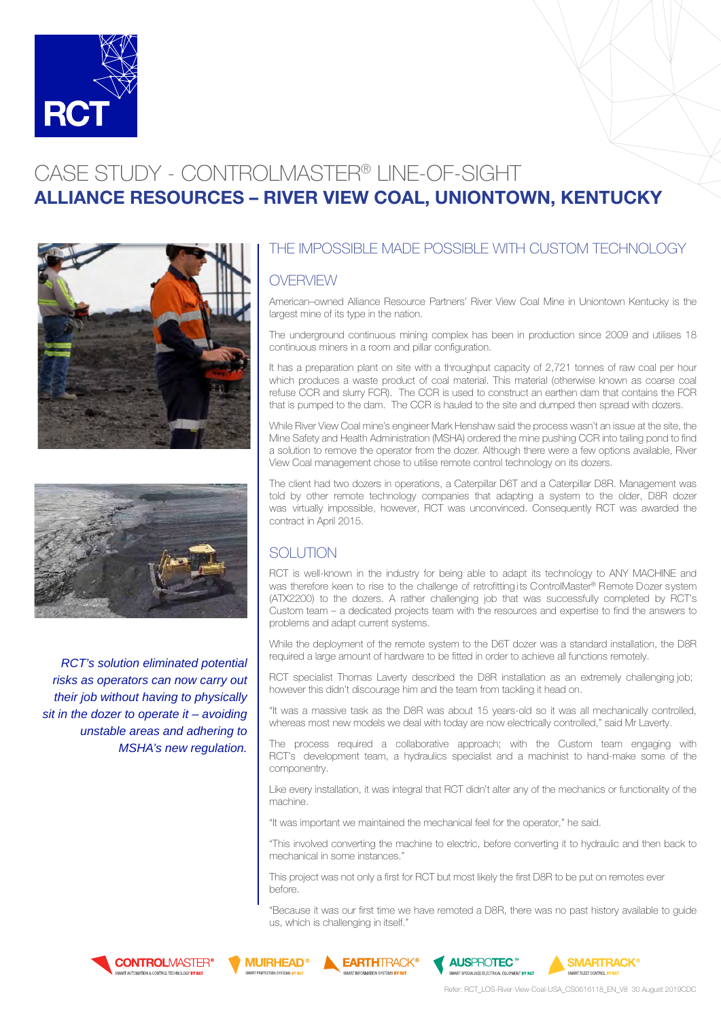

# CASE STUDY - CONTROLMASTER® LINE-OF-SIGHT ALLIANCE RESOURCES – RIVER VIEW COAL, UNIONTOWN, KENTUCKY





*RCT's solution eliminated potential risks as operators can now carry out their job without having to physically sit in the dozer to operate it – avoiding unstable areas and adhering to MSHA's new regulation.* 

## THE IMPOSSIBLE MADE POSSIBLE WITH CUSTOM TECHNOLOGY

#### **OVERVIEW**

American–owned Alliance Resource Partners' River View Coal Mine in Uniontown Kentucky is the largest mine of its type in the nation.

The underground continuous mining complex has been in production since 2009 and utilises 18 continuous miners in a room and pillar configuration.

It has a preparation plant on site with a throughput capacity of 2,721 tonnes of raw coal per hour which produces a waste product of coal material. This material (otherwise known as coarse coal refuse CCR and slurry FCR). The CCR is used to construct an earthen dam that contains the FCR that is pumped to the dam. The CCR is hauled to the site and dumped then spread with dozers.

While River View Coal mine's engineer Mark Henshaw said the process wasn't an issue at the site, the Mine Safety and Health Administration (MSHA) ordered the mine pushing CCR into tailing pond to find a solution to remove the operator from the dozer. Although there were a few options available, River View Coal management chose to utilise remote control technology on its dozers.

The client had two dozers in operations, a Caterpillar D6T and a Caterpillar D8R. Management was told by other remote technology companies that adapting a system to the older, D8R dozer was virtually impossible, however, RCT was unconvinced. Consequently RCT was awarded the contract in April 2015.

## SOLUTION

RCT is well-known in the industry for being able to adapt its technology to ANY MACHINE and was therefore keen to rise to the challenge of retrofitting its ControlMaster® Remote Dozer system (ATX2200) to the dozers. A rather challenging job that was successfully completed by RCT's Custom team – a dedicated projects team with the resources and expertise to find the answers to problems and adapt current systems.

While the deployment of the remote system to the D6T dozer was a standard installation, the D8R required a large amount of hardware to be fitted in order to achieve all functions remotely.

RCT specialist Thomas Laverty described the D8R installation as an extremely challenging job; however this didn't discourage him and the team from tackling it head on.

"It was a massive task as the D8R was about 15 years-old so it was all mechanically controlled, whereas most new models we deal with today are now electrically controlled," said Mr Laverty.

The process required a collaborative approach; with the Custom team engaging with RCT's development team, a hydraulics specialist and a machinist to hand-make some of the componentry.

Like every installation, it was integral that RCT didn't alter any of the mechanics or functionality of the machine.

"It was important we maintained the mechanical feel for the operator," he said.

"This involved converting the machine to electric, before converting it to hydraulic and then back to mechanical in some instances."

This project was not only a first for RCT but most likely the first D8R to be put on remotes ever before.

"Because it was our first time we have remoted a D8R, there was no past history available to guide us, which is challenging in itself."